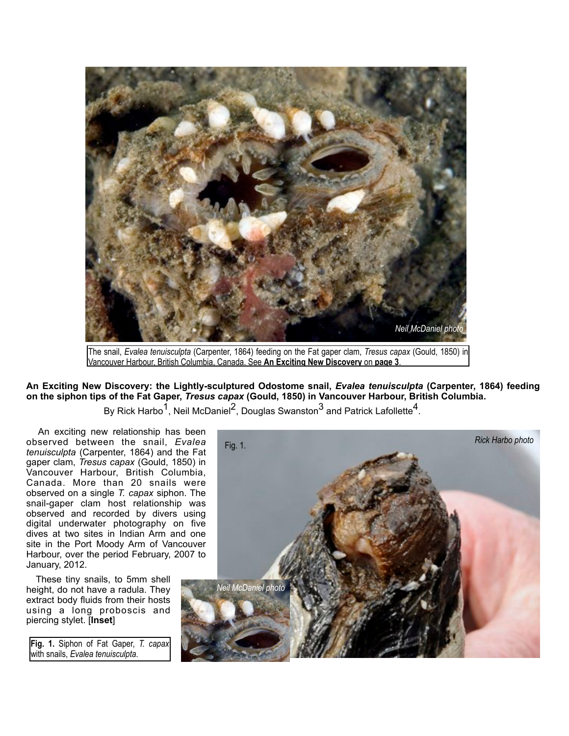

Vancouver Harbour, British Columbia, Canada. See **An Exciting New Discovery** on **page 3**.

**An Exciting New Discovery: the Lightly-sculptured Odostome snail,** *Evalea tenuisculpta* **(Carpenter, 1864) feeding on the siphon tips of the Fat Gaper,** *Tresus capax* **(Gould, 1850) in Vancouver Harbour, British Columbia.**

By Rick Harbo<sup>1</sup>, Neil McDaniel<sup>2</sup>, Douglas Swanston<sup>3</sup> and Patrick Lafollette<sup>4</sup>.

 An exciting new relationship has been observed between the snail, *Evalea tenuisculpta* (Carpenter, 1864) and the Fat gaper clam, *Tresus capax* (Gould, 1850) in Vancouver Harbour, British Columbia, Canada. More than 20 snails were observed on a single *T. capax* siphon. The snail-gaper clam host relationship was observed and recorded by divers using digital underwater photography on five dives at two sites in Indian Arm and one site in the Port Moody Arm of Vancouver Harbour, over the period February, 2007 to January, 2012.

 These tiny snails, to 5mm shell height, do not have a radula. They extract body fluids from their hosts using a long proboscis and piercing stylet. [**Inset**]

**Fig. 1.** Siphon of Fat Gaper, *T. capax*  with snails, *Evalea tenuisculpta*.